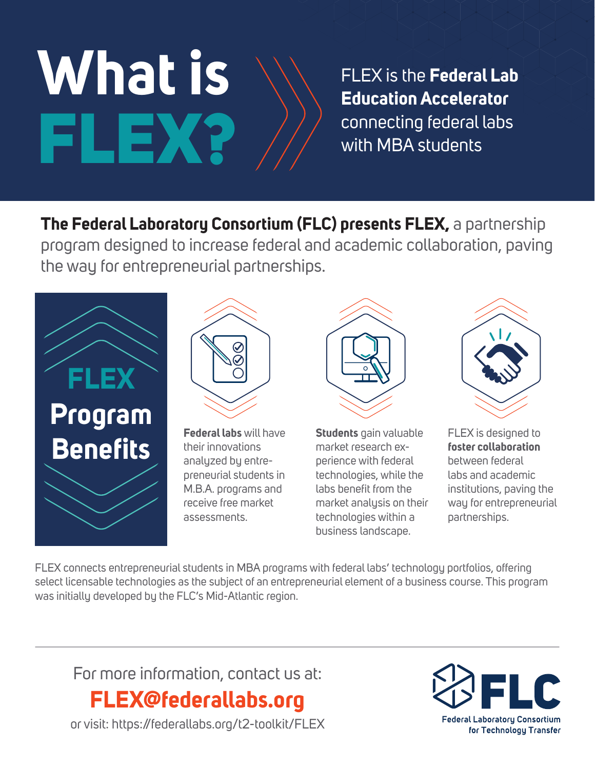# **What is** FLEX?

FLEX is the **Federal Lab Education Accelerator**  connecting federal labs with MBA students

**The Federal Laboratory Consortium (FLC) presents FLEX,** a partnership program designed to increase federal and academic collaboration, paving the way for entrepreneurial partnerships.





**Federal labs** will have their innovations analuzed by entrepreneurial students in M.B.A. programs and receive free market assessments.



**Students** gain valuable market research experience with federal technologies, while the labs benefit from the market analysis on their technologies within a business landscape.



FLEX is designed to **foster collaboration**  between federal labs and academic institutions, paving the way for entrepreneurial partnerships.

FLEX connects entrepreneurial students in MBA programs with federal labs' technology portfolios, offering select licensable technologies as the subject of an entrepreneurial element of a business course. This program was initially developed by the FLC's Mid-Atlantic region.

For more information, contact us at: **FLEX@federallabs.org**

or visit: https://federallabs.org/t2-toolkit/FLEX